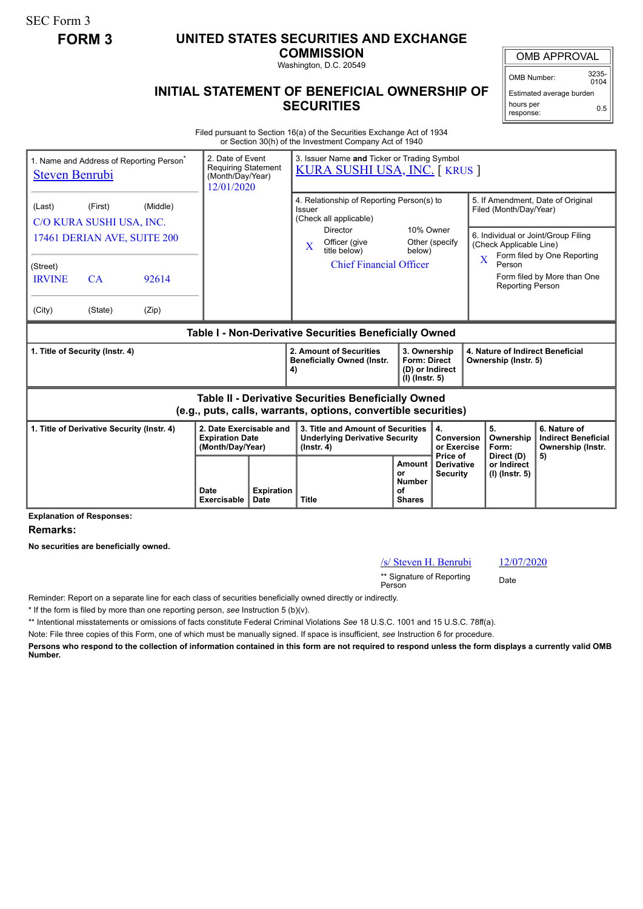SEC Form 3

## **FORM 3 UNITED STATES SECURITIES AND EXCHANGE**

**COMMISSION** Washington, D.C. 20549

## **INITIAL STATEMENT OF BENEFICIAL OWNERSHIP OF SECURITIES**

OMB APPROVAL

OMB Number: 3235-  $0104$ 

Estimated average burden hours per response: 0.5

Filed pursuant to Section 16(a) of the Securities Exchange Act of 1934 or Section 30(h) of the Investment Company Act of 1940

| 1. Name and Address of Reporting Person <sup>®</sup><br><b>Steven Benrubi</b>                                         |                                                                                     | 2. Date of Event<br><b>Requiring Statement</b><br>(Month/Day/Year)<br>12/01/2020 | 3. Issuer Name and Ticker or Trading Symbol<br><u>KURA SUSHI USA, INC.</u> [ KRUS ] |                           |                                                                                                                                                                          |                                                                          |                                                  |                                                                                                                               |                                                                                                 |
|-----------------------------------------------------------------------------------------------------------------------|-------------------------------------------------------------------------------------|----------------------------------------------------------------------------------|-------------------------------------------------------------------------------------|---------------------------|--------------------------------------------------------------------------------------------------------------------------------------------------------------------------|--------------------------------------------------------------------------|--------------------------------------------------|-------------------------------------------------------------------------------------------------------------------------------|-------------------------------------------------------------------------------------------------|
| (Last)<br>(Street)<br><b>IRVINE</b><br>(City)                                                                         | (First)<br>C/O KURA SUSHI USA, INC.<br>17461 DERIAN AVE, SUITE 200<br>CA<br>(State) | (Middle)<br>92614<br>(Zip)                                                       |                                                                                     |                           | 4. Relationship of Reporting Person(s) to<br>Issuer<br>(Check all applicable)<br><b>Director</b><br>Officer (give<br>X<br>title below)<br><b>Chief Financial Officer</b> | 10% Owner<br>below)                                                      | Other (specify                                   | Filed (Month/Day/Year)<br>6. Individual or Joint/Group Filing<br>(Check Applicable Line)<br>Person<br><b>Reporting Person</b> | 5. If Amendment, Date of Original<br>Form filed by One Reporting<br>Form filed by More than One |
| Table I - Non-Derivative Securities Beneficially Owned                                                                |                                                                                     |                                                                                  |                                                                                     |                           |                                                                                                                                                                          |                                                                          |                                                  |                                                                                                                               |                                                                                                 |
| 1. Title of Security (Instr. 4)                                                                                       |                                                                                     |                                                                                  |                                                                                     |                           | 2. Amount of Securities<br><b>Beneficially Owned (Instr.</b><br>4)                                                                                                       | 3. Ownership<br><b>Form: Direct</b><br>(D) or Indirect<br>(I) (Instr. 5) |                                                  | 4. Nature of Indirect Beneficial<br>Ownership (Instr. 5)                                                                      |                                                                                                 |
| Table II - Derivative Securities Beneficially Owned<br>(e.g., puts, calls, warrants, options, convertible securities) |                                                                                     |                                                                                  |                                                                                     |                           |                                                                                                                                                                          |                                                                          |                                                  |                                                                                                                               |                                                                                                 |
| 1. Title of Derivative Security (Instr. 4)                                                                            |                                                                                     |                                                                                  | 2. Date Exercisable and<br><b>Expiration Date</b><br>(Month/Day/Year)               |                           | 3. Title and Amount of Securities<br><b>Underlying Derivative Security</b><br>$($ lnstr. 4 $)$                                                                           |                                                                          | 4.<br>Conversion<br>or Exercise                  | 5.<br>Ownership<br>Form:                                                                                                      | 6. Nature of<br><b>Indirect Beneficial</b><br>Ownership (Instr.                                 |
|                                                                                                                       |                                                                                     |                                                                                  | Date<br>Exercisable                                                                 | <b>Expiration</b><br>Date | <b>Title</b>                                                                                                                                                             | <b>Amount</b><br>or<br><b>Number</b><br>οf<br><b>Shares</b>              | Price of<br><b>Derivative</b><br><b>Security</b> | Direct (D)<br>or Indirect<br>(I) (Instr. 5)                                                                                   | 5)                                                                                              |

**Explanation of Responses:**

**Remarks:**

**No securities are beneficially owned.**

## /s/ Steven H. Benrubi 12/07/2020

\*\* Signature of Reporting <sub>Date</sub><br>Person

Reminder: Report on a separate line for each class of securities beneficially owned directly or indirectly.

\* If the form is filed by more than one reporting person, *see* Instruction 5 (b)(v).

\*\* Intentional misstatements or omissions of facts constitute Federal Criminal Violations *See* 18 U.S.C. 1001 and 15 U.S.C. 78ff(a).

Note: File three copies of this Form, one of which must be manually signed. If space is insufficient, *see* Instruction 6 for procedure.

**Persons who respond to the collection of information contained in this form are not required to respond unless the form displays a currently valid OMB Number.**